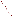